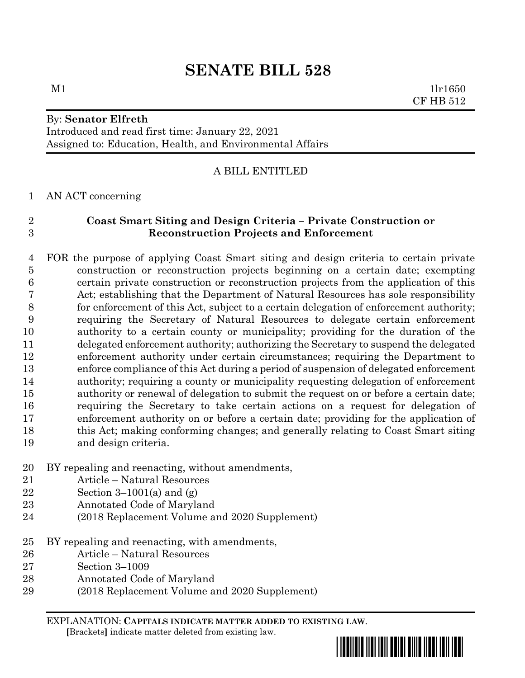# **SENATE BILL 528**

 $M1$   $1\text{l}r1650$ 

By: **Senator Elfreth**

Introduced and read first time: January 22, 2021 Assigned to: Education, Health, and Environmental Affairs

## A BILL ENTITLED

### AN ACT concerning

# **Coast Smart Siting and Design Criteria – Private Construction or Reconstruction Projects and Enforcement**

 FOR the purpose of applying Coast Smart siting and design criteria to certain private construction or reconstruction projects beginning on a certain date; exempting certain private construction or reconstruction projects from the application of this Act; establishing that the Department of Natural Resources has sole responsibility for enforcement of this Act, subject to a certain delegation of enforcement authority; requiring the Secretary of Natural Resources to delegate certain enforcement authority to a certain county or municipality; providing for the duration of the delegated enforcement authority; authorizing the Secretary to suspend the delegated enforcement authority under certain circumstances; requiring the Department to enforce compliance of this Act during a period of suspension of delegated enforcement authority; requiring a county or municipality requesting delegation of enforcement authority or renewal of delegation to submit the request on or before a certain date; requiring the Secretary to take certain actions on a request for delegation of enforcement authority on or before a certain date; providing for the application of this Act; making conforming changes; and generally relating to Coast Smart siting and design criteria.

- BY repealing and reenacting, without amendments,
- Article Natural Resources
- 22 Section 3–1001(a) and  $(g)$
- Annotated Code of Maryland
- (2018 Replacement Volume and 2020 Supplement)
- BY repealing and reenacting, with amendments,
- Article Natural Resources
- Section 3–1009
- Annotated Code of Maryland
- (2018 Replacement Volume and 2020 Supplement)

EXPLANATION: **CAPITALS INDICATE MATTER ADDED TO EXISTING LAW**.  **[**Brackets**]** indicate matter deleted from existing law.



CF HB 512

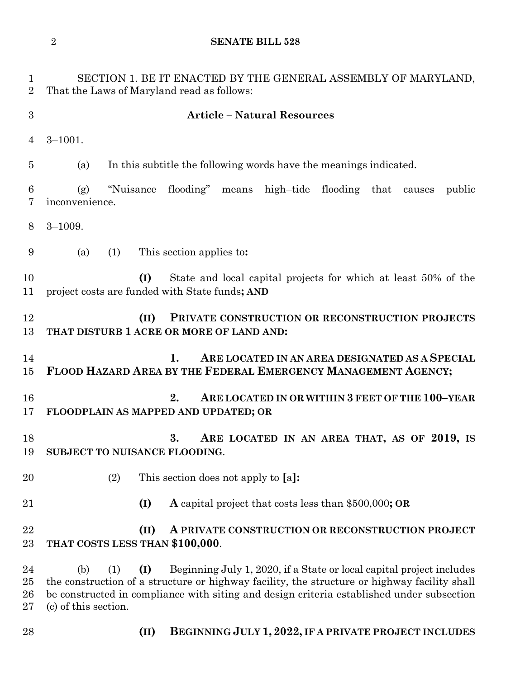**SENATE BILL 528**

| $\mathbf 1$<br>$\overline{2}$ | SECTION 1. BE IT ENACTED BY THE GENERAL ASSEMBLY OF MARYLAND,<br>That the Laws of Maryland read as follows:                                                                                                                                                                                                    |
|-------------------------------|----------------------------------------------------------------------------------------------------------------------------------------------------------------------------------------------------------------------------------------------------------------------------------------------------------------|
| 3                             | <b>Article - Natural Resources</b>                                                                                                                                                                                                                                                                             |
| 4                             | $3 - 1001.$                                                                                                                                                                                                                                                                                                    |
| $\overline{5}$                | In this subtitle the following words have the meanings indicated.<br>(a)                                                                                                                                                                                                                                       |
| $6\phantom{.}6$<br>7          | "Nuisance flooding" means high-tide flooding that<br>public<br>(g)<br>causes<br>inconvenience.                                                                                                                                                                                                                 |
| 8                             | $3 - 1009.$                                                                                                                                                                                                                                                                                                    |
| 9                             | This section applies to:<br>(a)<br>(1)                                                                                                                                                                                                                                                                         |
| 10<br>11                      | (I)<br>State and local capital projects for which at least 50% of the<br>project costs are funded with State funds; AND                                                                                                                                                                                        |
| 12<br>13                      | (II)<br>PRIVATE CONSTRUCTION OR RECONSTRUCTION PROJECTS<br>THAT DISTURB 1 ACRE OR MORE OF LAND AND:                                                                                                                                                                                                            |
| 14<br>15                      | ARE LOCATED IN AN AREA DESIGNATED AS A SPECIAL<br>1.<br>FLOOD HAZARD AREA BY THE FEDERAL EMERGENCY MANAGEMENT AGENCY;                                                                                                                                                                                          |
| 16<br>17                      | 2.<br>ARE LOCATED IN OR WITHIN 3 FEET OF THE 100-YEAR<br>FLOODPLAIN AS MAPPED AND UPDATED; OR                                                                                                                                                                                                                  |
| 18<br>19                      | 3.<br>ARE LOCATED IN AN AREA THAT, AS OF 2019, IS<br>SUBJECT TO NUISANCE FLOODING.                                                                                                                                                                                                                             |
| 20                            | (2)<br>This section does not apply to [a]:                                                                                                                                                                                                                                                                     |
| 21                            | (I)<br><b>A</b> capital project that costs less than \$500,000; OR                                                                                                                                                                                                                                             |
| 22<br>23                      | (II)<br>A PRIVATE CONSTRUCTION OR RECONSTRUCTION PROJECT<br>THAT COSTS LESS THAN \$100,000.                                                                                                                                                                                                                    |
| 24<br>25<br>26<br>27          | Beginning July 1, 2020, if a State or local capital project includes<br>(b)<br>(1)<br>(I)<br>the construction of a structure or highway facility, the structure or highway facility shall<br>be constructed in compliance with siting and design criteria established under subsection<br>(c) of this section. |
| 28                            | BEGINNING JULY 1, 2022, IF A PRIVATE PROJECT INCLUDES<br>(II)                                                                                                                                                                                                                                                  |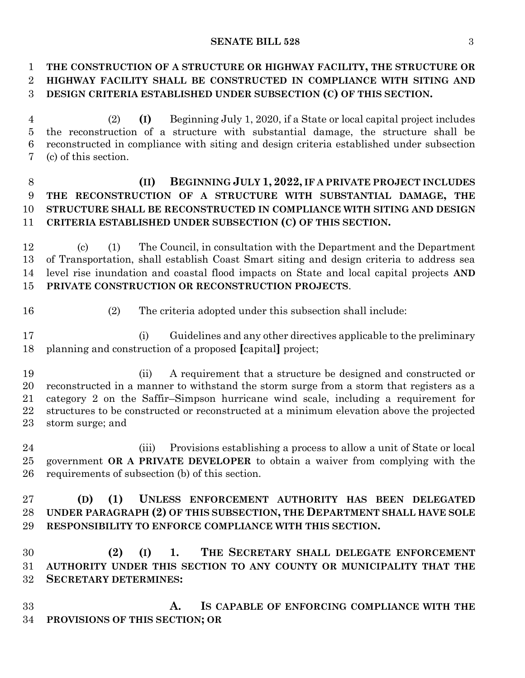#### **SENATE BILL 528** 3

## **THE CONSTRUCTION OF A STRUCTURE OR HIGHWAY FACILITY, THE STRUCTURE OR HIGHWAY FACILITY SHALL BE CONSTRUCTED IN COMPLIANCE WITH SITING AND DESIGN CRITERIA ESTABLISHED UNDER SUBSECTION (C) OF THIS SECTION.**

 (2) **(I)** Beginning July 1, 2020, if a State or local capital project includes the reconstruction of a structure with substantial damage, the structure shall be reconstructed in compliance with siting and design criteria established under subsection (c) of this section.

# **(II) BEGINNING JULY 1, 2022, IF A PRIVATE PROJECT INCLUDES THE RECONSTRUCTION OF A STRUCTURE WITH SUBSTANTIAL DAMAGE, THE STRUCTURE SHALL BE RECONSTRUCTED IN COMPLIANCE WITH SITING AND DESIGN CRITERIA ESTABLISHED UNDER SUBSECTION (C) OF THIS SECTION.**

 (c) (1) The Council, in consultation with the Department and the Department of Transportation, shall establish Coast Smart siting and design criteria to address sea level rise inundation and coastal flood impacts on State and local capital projects **AND PRIVATE CONSTRUCTION OR RECONSTRUCTION PROJECTS**.

(2) The criteria adopted under this subsection shall include:

 (i) Guidelines and any other directives applicable to the preliminary planning and construction of a proposed **[**capital**]** project;

 (ii) A requirement that a structure be designed and constructed or reconstructed in a manner to withstand the storm surge from a storm that registers as a category 2 on the Saffir–Simpson hurricane wind scale, including a requirement for structures to be constructed or reconstructed at a minimum elevation above the projected storm surge; and

 (iii) Provisions establishing a process to allow a unit of State or local government **OR A PRIVATE DEVELOPER** to obtain a waiver from complying with the requirements of subsection (b) of this section.

 **(D) (1) UNLESS ENFORCEMENT AUTHORITY HAS BEEN DELEGATED UNDER PARAGRAPH (2) OF THIS SUBSECTION, THE DEPARTMENT SHALL HAVE SOLE RESPONSIBILITY TO ENFORCE COMPLIANCE WITH THIS SECTION.**

 **(2) (I) 1. THE SECRETARY SHALL DELEGATE ENFORCEMENT AUTHORITY UNDER THIS SECTION TO ANY COUNTY OR MUNICIPALITY THAT THE SECRETARY DETERMINES:**

 **A. IS CAPABLE OF ENFORCING COMPLIANCE WITH THE PROVISIONS OF THIS SECTION; OR**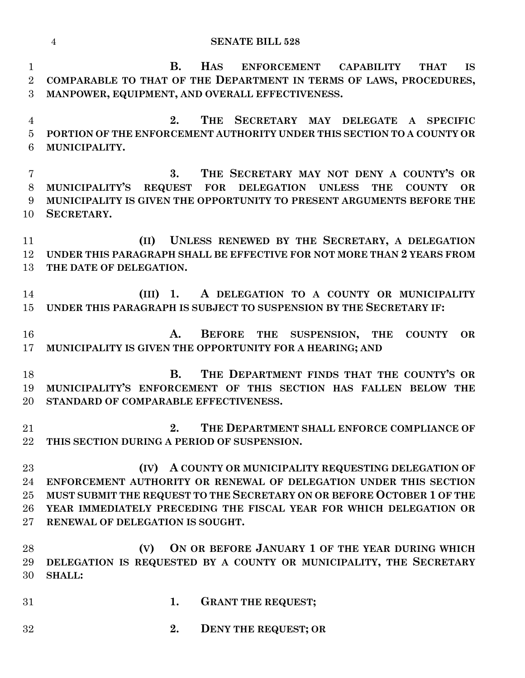**SENATE BILL 528 B. HAS ENFORCEMENT CAPABILITY THAT IS COMPARABLE TO THAT OF THE DEPARTMENT IN TERMS OF LAWS, PROCEDURES, MANPOWER, EQUIPMENT, AND OVERALL EFFECTIVENESS. 2. THE SECRETARY MAY DELEGATE A SPECIFIC PORTION OF THE ENFORCEMENT AUTHORITY UNDER THIS SECTION TO A COUNTY OR MUNICIPALITY. 3. THE SECRETARY MAY NOT DENY A COUNTY'S OR MUNICIPALITY'S REQUEST FOR DELEGATION UNLESS THE COUNTY OR MUNICIPALITY IS GIVEN THE OPPORTUNITY TO PRESENT ARGUMENTS BEFORE THE SECRETARY. (II) UNLESS RENEWED BY THE SECRETARY, A DELEGATION UNDER THIS PARAGRAPH SHALL BE EFFECTIVE FOR NOT MORE THAN 2 YEARS FROM THE DATE OF DELEGATION. (III) 1. A DELEGATION TO A COUNTY OR MUNICIPALITY UNDER THIS PARAGRAPH IS SUBJECT TO SUSPENSION BY THE SECRETARY IF: A. BEFORE THE SUSPENSION, THE COUNTY OR MUNICIPALITY IS GIVEN THE OPPORTUNITY FOR A HEARING; AND B. THE DEPARTMENT FINDS THAT THE COUNTY'S OR MUNICIPALITY'S ENFORCEMENT OF THIS SECTION HAS FALLEN BELOW THE STANDARD OF COMPARABLE EFFECTIVENESS. 2. THE DEPARTMENT SHALL ENFORCE COMPLIANCE OF THIS SECTION DURING A PERIOD OF SUSPENSION. (IV) A COUNTY OR MUNICIPALITY REQUESTING DELEGATION OF ENFORCEMENT AUTHORITY OR RENEWAL OF DELEGATION UNDER THIS SECTION MUST SUBMIT THE REQUEST TO THE SECRETARY ON OR BEFORE OCTOBER 1 OF THE YEAR IMMEDIATELY PRECEDING THE FISCAL YEAR FOR WHICH DELEGATION OR RENEWAL OF DELEGATION IS SOUGHT. (V) ON OR BEFORE JANUARY 1 OF THE YEAR DURING WHICH DELEGATION IS REQUESTED BY A COUNTY OR MUNICIPALITY, THE SECRETARY SHALL: 1. GRANT THE REQUEST;**

**2. DENY THE REQUEST; OR**